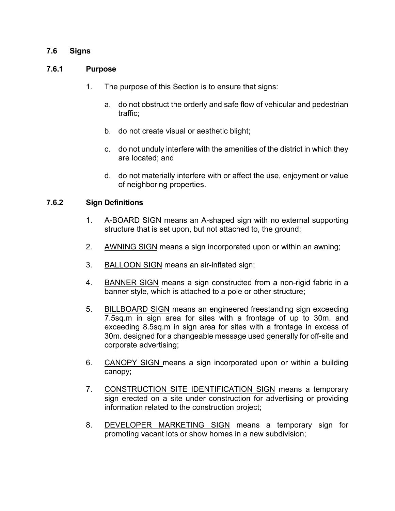### **7.6 Signs**

#### **7.6.1 Purpose**

- 1. The purpose of this Section is to ensure that signs:
	- a. do not obstruct the orderly and safe flow of vehicular and pedestrian traffic;
	- b. do not create visual or aesthetic blight;
	- c. do not unduly interfere with the amenities of the district in which they are located; and
	- d. do not materially interfere with or affect the use, enjoyment or value of neighboring properties.

#### **7.6.2 Sign Definitions**

- 1. A-BOARD SIGN means an A-shaped sign with no external supporting structure that is set upon, but not attached to, the ground;
- 2. AWNING SIGN means a sign incorporated upon or within an awning;
- 3. BALLOON SIGN means an air-inflated sign;
- 4. BANNER SIGN means a sign constructed from a non-rigid fabric in a banner style, which is attached to a pole or other structure;
- 5. BILLBOARD SIGN means an engineered freestanding sign exceeding 7.5sq.m in sign area for sites with a frontage of up to 30m. and exceeding 8.5sq.m in sign area for sites with a frontage in excess of 30m. designed for a changeable message used generally for off-site and corporate advertising;
- 6. CANOPY SIGN means a sign incorporated upon or within a building canopy;
- 7. CONSTRUCTION SITE IDENTIFICATION SIGN means a temporary sign erected on a site under construction for advertising or providing information related to the construction project;
- 8. DEVELOPER MARKETING SIGN means a temporary sign for promoting vacant lots or show homes in a new subdivision;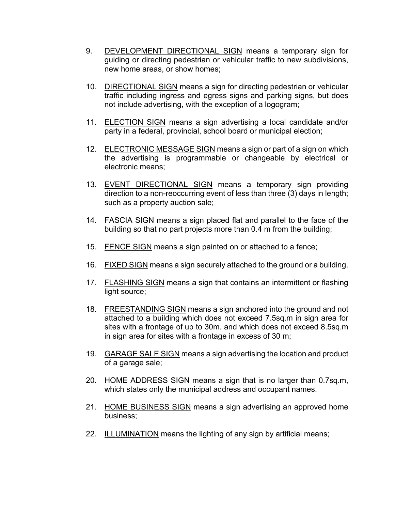- 9. DEVELOPMENT DIRECTIONAL SIGN means a temporary sign for guiding or directing pedestrian or vehicular traffic to new subdivisions, new home areas, or show homes;
- 10. DIRECTIONAL SIGN means a sign for directing pedestrian or vehicular traffic including ingress and egress signs and parking signs, but does not include advertising, with the exception of a logogram;
- 11. ELECTION SIGN means a sign advertising a local candidate and/or party in a federal, provincial, school board or municipal election;
- 12. ELECTRONIC MESSAGE SIGN means a sign or part of a sign on which the advertising is programmable or changeable by electrical or electronic means;
- 13. EVENT DIRECTIONAL SIGN means a temporary sign providing direction to a non-reoccurring event of less than three (3) days in length; such as a property auction sale;
- 14. FASCIA SIGN means a sign placed flat and parallel to the face of the building so that no part projects more than 0.4 m from the building;
- 15. FENCE SIGN means a sign painted on or attached to a fence;
- 16. FIXED SIGN means a sign securely attached to the ground or a building.
- 17. FLASHING SIGN means a sign that contains an intermittent or flashing light source:
- 18. FREESTANDING SIGN means a sign anchored into the ground and not attached to a building which does not exceed 7.5sq.m in sign area for sites with a frontage of up to 30m. and which does not exceed 8.5sq.m in sign area for sites with a frontage in excess of 30 m;
- 19. GARAGE SALE SIGN means a sign advertising the location and product of a garage sale;
- 20. HOME ADDRESS SIGN means a sign that is no larger than 0.7sq.m, which states only the municipal address and occupant names.
- 21. HOME BUSINESS SIGN means a sign advertising an approved home business;
- 22. ILLUMINATION means the lighting of any sign by artificial means;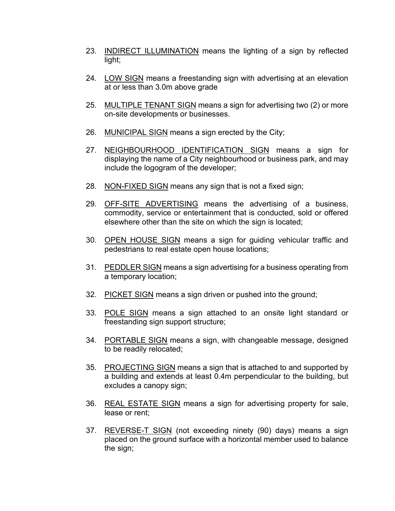- 23. INDIRECT ILLUMINATION means the lighting of a sign by reflected light;
- 24. LOW SIGN means a freestanding sign with advertising at an elevation at or less than 3.0m above grade
- 25. MULTIPLE TENANT SIGN means a sign for advertising two (2) or more on-site developments or businesses.
- 26. MUNICIPAL SIGN means a sign erected by the City;
- 27. NEIGHBOURHOOD IDENTIFICATION SIGN means a sign for displaying the name of a City neighbourhood or business park, and may include the logogram of the developer;
- 28. NON-FIXED SIGN means any sign that is not a fixed sign;
- 29. OFF-SITE ADVERTISING means the advertising of a business, commodity, service or entertainment that is conducted, sold or offered elsewhere other than the site on which the sign is located;
- 30. OPEN HOUSE SIGN means a sign for guiding vehicular traffic and pedestrians to real estate open house locations;
- 31. PEDDLER SIGN means a sign advertising for a business operating from a temporary location;
- 32. PICKET SIGN means a sign driven or pushed into the ground;
- 33. POLE SIGN means a sign attached to an onsite light standard or freestanding sign support structure;
- 34. PORTABLE SIGN means a sign, with changeable message, designed to be readily relocated;
- 35. PROJECTING SIGN means a sign that is attached to and supported by a building and extends at least 0.4m perpendicular to the building, but excludes a canopy sign;
- 36. REAL ESTATE SIGN means a sign for advertising property for sale, lease or rent;
- 37. REVERSE-T SIGN (not exceeding ninety (90) days) means a sign placed on the ground surface with a horizontal member used to balance the sign;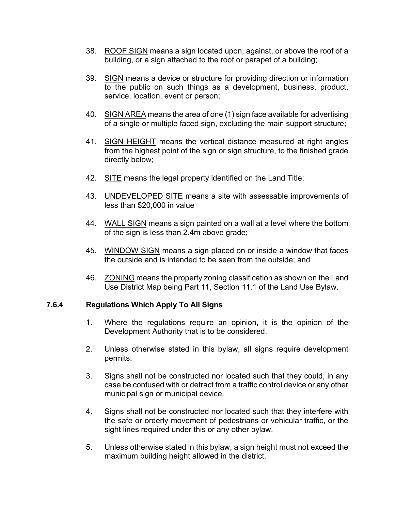- 38. ROOF SIGN means a sign located upon, against, or above the roof of a building, or a sign attached to the roof or parapet of a building;
- 39. SIGN means a device or structure for providing direction or information to the public on such things as a development, business, product, service, location, event or person;
- 40. SIGN AREA means the area of one (1) sign face available for advertising of a single or multiple faced sign, excluding the main support structure;
- 41. SIGN HEIGHT means the vertical distance measured at right angles from the highest point of the sign or sign structure, to the finished grade directly below;
- 42. SITE means the legal property identified on the Land Title;
- 43. UNDEVELOPED SITE means a site with assessable improvements of less than \$20,000 in value
- 44. WALL SIGN means a sign painted on a wall at a level where the bottom of the sign is less than 2.4m above grade;
- 45. WINDOW SIGN means a sign placed on or inside a window that faces the outside and is intended to be seen from the outside; and
- 46. ZONING means the property zoning classification as shown on the Land Use District Map being Part 11, Section 11.1 of the Land Use Bylaw.

#### **7.6.4 Regulations Which Apply To All Signs**

- 1. Where the regulations require an opinion, it is the opinion of the Development Authority that is to be considered.
- 2. Unless otherwise stated in this bylaw, all signs require development permits.
- 3. Signs shall not be constructed nor located such that they could, in any case be confused with or detract from a traffic control device or any other municipal sign or municipal device.
- 4. Signs shall not be constructed nor located such that they interfere with the safe or orderly movement of pedestrians or vehicular traffic, or the sight lines required under this or any other bylaw.
- 5. Unless otherwise stated in this bylaw, a sign height must not exceed the maximum building height allowed in the district.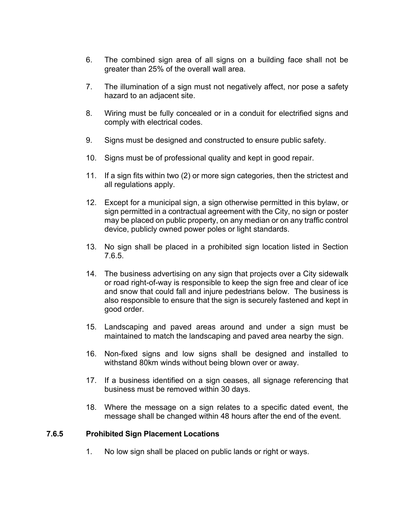- 6. The combined sign area of all signs on a building face shall not be greater than 25% of the overall wall area.
- 7. The illumination of a sign must not negatively affect, nor pose a safety hazard to an adjacent site.
- 8. Wiring must be fully concealed or in a conduit for electrified signs and comply with electrical codes.
- 9. Signs must be designed and constructed to ensure public safety.
- 10. Signs must be of professional quality and kept in good repair.
- 11. If a sign fits within two (2) or more sign categories, then the strictest and all regulations apply.
- 12. Except for a municipal sign, a sign otherwise permitted in this bylaw, or sign permitted in a contractual agreement with the City, no sign or poster may be placed on public property, on any median or on any traffic control device, publicly owned power poles or light standards.
- 13. No sign shall be placed in a prohibited sign location listed in Section 7.6.5.
- 14. The business advertising on any sign that projects over a City sidewalk or road right-of-way is responsible to keep the sign free and clear of ice and snow that could fall and injure pedestrians below. The business is also responsible to ensure that the sign is securely fastened and kept in good order.
- 15. Landscaping and paved areas around and under a sign must be maintained to match the landscaping and paved area nearby the sign.
- 16. Non-fixed signs and low signs shall be designed and installed to withstand 80km winds without being blown over or away.
- 17. If a business identified on a sign ceases, all signage referencing that business must be removed within 30 days.
- 18. Where the message on a sign relates to a specific dated event, the message shall be changed within 48 hours after the end of the event.

#### **7.6.5 Prohibited Sign Placement Locations**

1. No low sign shall be placed on public lands or right or ways.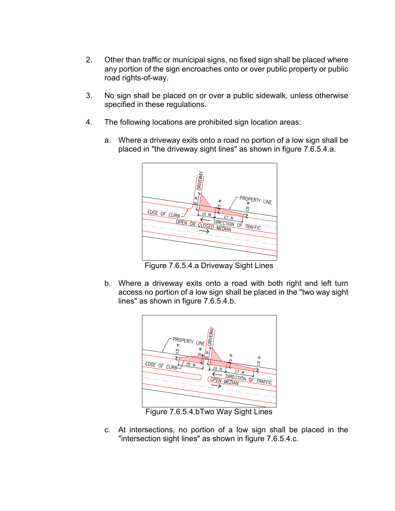- 2. Other than traffic or municipal signs, no fixed sign shall be placed where any portion of the sign encroaches onto or over public property or public road rights-of-way.
- 3. No sign shall be placed on or over a public sidewalk, unless otherwise specified in these regulations.
- 4. The following locations are prohibited sign location areas:
	- a. Where a driveway exits onto a road no portion of a low sign shall be placed in "the driveway sight lines" as shown in figure 7.6.5.4.a.



Figure 7.6.5.4.a Driveway Sight Lines

b. Where a driveway exits onto a road with both right and left turn access no portion of a low sign shall be placed in the "two way sight lines" as shown in figure 7.6.5.4.b.



Figure 7.6.5.4.bTwo Way Sight Lines

c. At intersections, no portion of a low sign shall be placed in the "intersection sight lines" as shown in figure 7.6.5.4.c.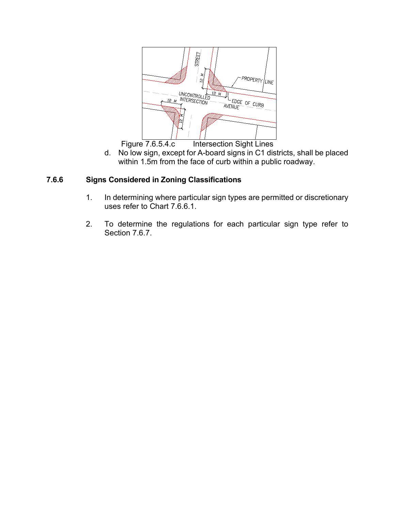

Figure 7.6.5.4.c Intersection Sight Lines

d. No low sign, except for A-board signs in C1 districts, shall be placed within 1.5m from the face of curb within a public roadway.

## **7.6.6 Signs Considered in Zoning Classifications**

- 1. In determining where particular sign types are permitted or discretionary uses refer to Chart 7.6.6.1.
- 2. To determine the regulations for each particular sign type refer to Section 7.6.7.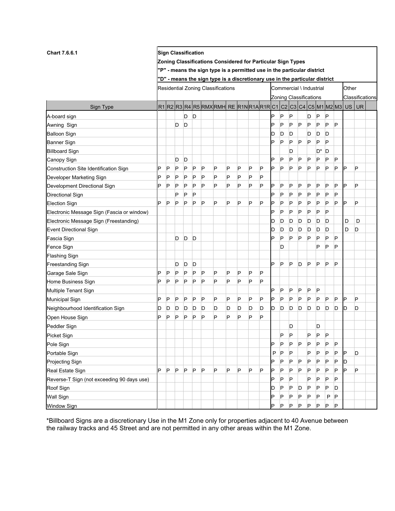| <b>Chart 7.6.6.1</b>                       | <b>Sign Classification</b><br>Zoning Classifications Considered for Particular Sign Types |   |   |   |                    |   |                                                                             |   |   |   |   |                        |                         |   |       |              |    |   |   |   |                            |
|--------------------------------------------|-------------------------------------------------------------------------------------------|---|---|---|--------------------|---|-----------------------------------------------------------------------------|---|---|---|---|------------------------|-------------------------|---|-------|--------------|----|---|---|---|----------------------------|
|                                            |                                                                                           |   |   |   |                    |   |                                                                             |   |   |   |   |                        |                         |   |       |              |    |   |   |   |                            |
|                                            |                                                                                           |   |   |   |                    |   | "P" - means the sign type is a permitted use in the particular district     |   |   |   |   |                        |                         |   |       |              |    |   |   |   |                            |
|                                            |                                                                                           |   |   |   |                    |   | "D" - means the sign type is a discretionary use in the particular district |   |   |   |   |                        |                         |   |       |              |    |   |   |   |                            |
|                                            | Residential Zoning Classifications                                                        |   |   |   |                    |   |                                                                             |   |   |   |   |                        | Commercial \ Industrial |   | Other |              |    |   |   |   |                            |
|                                            |                                                                                           |   |   |   |                    |   |                                                                             |   |   |   |   | Zoning Classifications |                         |   |       |              |    |   |   |   | Classifications            |
| Sign Type                                  |                                                                                           |   |   |   |                    |   | R1 R2 R3 R4 R5 RMX RMH RE R1N R1A R1R C1                                    |   |   |   |   |                        |                         |   |       |              |    |   |   |   | C2 C3 C4 C5 M1 M2 M3 US UR |
| A-board sign                               |                                                                                           |   |   | D | D                  |   |                                                                             |   |   |   |   | P                      | P                       | P |       | D            | P  | P |   |   |                            |
| Awning Sign                                |                                                                                           |   | D | D |                    |   |                                                                             |   |   |   |   | P                      | P                       | P | P     | P            | P  | P | P |   |                            |
| <b>Balloon Sign</b>                        |                                                                                           |   |   |   |                    |   |                                                                             |   |   |   |   | D                      | D                       | D |       | D            | D  | D |   |   |                            |
| <b>Banner Sign</b>                         |                                                                                           |   |   |   |                    |   |                                                                             |   |   |   |   | Þ                      | P                       | P | P     | P            | P  | P |   |   |                            |
| <b>Billboard Sign</b>                      |                                                                                           |   |   |   |                    |   |                                                                             |   |   |   |   |                        |                         | D |       |              | D* | D |   |   |                            |
| Canopy Sign                                |                                                                                           |   | D | D |                    |   |                                                                             |   |   |   |   | P                      | P                       | P | P     | P            | P  | P | P |   |                            |
| Construction Site Identification Sign      | P                                                                                         | P | P | P | P                  | P | P                                                                           | P | P | P | P | P                      | P                       | P | P     | P            | P  | P | P | D | P                          |
| Developer Marketing Sign                   | P                                                                                         | P | P | P | $\vert \mathsf{P}$ | P | P                                                                           | P | P | P | P |                        |                         |   |       |              |    |   |   |   |                            |
| Development Directional Sign               | P                                                                                         | P | P | P | P                  | Þ | P                                                                           | P | P | P | P | P                      | P                       | P | P     | P            | P  | P | P | Þ | P                          |
| Directional Sign                           |                                                                                           |   | P | P | P                  |   |                                                                             |   |   |   |   | P                      | P                       | P | Ρ     | P            | P  | P | P |   |                            |
| <b>Election Sign</b>                       | Þ                                                                                         | P | P | P | P                  | Þ | P                                                                           | P | P | P | P | Þ                      | P                       | P | P     | P            | P  | P | P | D | P                          |
| Electronic Message Sign (Fascia or window) |                                                                                           |   |   |   |                    |   |                                                                             |   |   |   |   | Þ                      | P                       | P | P     | P            | P  | P |   |   |                            |
| Electronic Message Sign (Freestanding)     |                                                                                           |   |   |   |                    |   |                                                                             |   |   |   |   | D                      | D                       | D | D     | D            | D  | D |   | D | D                          |
| Event Directional Sign                     |                                                                                           |   |   |   |                    |   |                                                                             |   |   |   |   | D                      | D                       | D | D     | D            | D  | D |   | D | D                          |
| Fascia Sign                                |                                                                                           |   | D | D | D                  |   |                                                                             |   |   |   |   | Þ                      | P                       | P | P     | P            | P  | P | P |   |                            |
| Fence Sign                                 |                                                                                           |   |   |   |                    |   |                                                                             |   |   |   |   |                        | D                       |   |       |              | P  | P | P |   |                            |
| <b>Flashing Sign</b>                       |                                                                                           |   |   |   |                    |   |                                                                             |   |   |   |   |                        |                         |   |       |              |    |   |   |   |                            |
| Freestanding Sign                          |                                                                                           |   | D | D | D                  |   |                                                                             |   |   |   |   | P                      | P                       | P | D     | P            | P  | P | P |   |                            |
| Garage Sale Sign                           | P                                                                                         | P | P | P | P                  | P | P                                                                           | P | P | P | P |                        |                         |   |       |              |    |   |   |   |                            |
| Home Business Sign                         | Þ                                                                                         | P | P | P | P                  | P | P                                                                           | P | P | P | P |                        |                         |   |       |              |    |   |   |   |                            |
| Multiple Tenant Sign                       |                                                                                           |   |   |   |                    |   |                                                                             |   |   |   |   | P                      | P                       | P | P     | P            | P  |   |   |   |                            |
| <b>Municipal Sign</b>                      | P                                                                                         | P | P | P | P                  | P | P                                                                           | P | P | P | P | P                      | P                       | P | P     | P            | P  | P | P | P | P                          |
| Neighbourhood Identification Sign          | ID                                                                                        | D | D | D | D                  | D | D                                                                           | D | D | D | D | D                      | D                       | D | D     | D            | D  | D | D | D | D                          |
| Open House Sign                            | P                                                                                         | P | P | P | P                  | P | P                                                                           | P | P | P | P |                        |                         |   |       |              |    |   |   |   |                            |
| Peddler Sign                               |                                                                                           |   |   |   |                    |   |                                                                             |   |   |   |   |                        |                         | D |       |              | D  |   |   |   |                            |
| Picket Sign                                |                                                                                           |   |   |   |                    |   |                                                                             |   |   |   |   |                        | P                       | P |       | P            | P  | P |   |   |                            |
| Pole Sign                                  |                                                                                           |   |   |   |                    |   |                                                                             |   |   |   |   | P                      | P                       | P | P     | P            | P  | P | P |   |                            |
| Portable Sign                              |                                                                                           |   |   |   |                    |   |                                                                             |   |   |   |   | P                      | P                       | P |       | P            | P  | P | P | P | D                          |
| Projecting Sign                            |                                                                                           |   |   |   |                    |   |                                                                             |   |   |   |   | P                      | P                       | P | P     | P            | P  | P | P | D |                            |
| Real Estate Sign                           | Þ                                                                                         | P | P | P | P                  | P | P                                                                           | P | P | P | P | P                      | P                       | P | P     | P            | P  | P | P | P | P                          |
| Reverse-T Sign (not exceeding 90 days use) |                                                                                           |   |   |   |                    |   |                                                                             |   |   |   |   | P                      | P                       | P |       | P            | P  | P | P |   |                            |
| Roof Sign                                  |                                                                                           |   |   |   |                    |   |                                                                             |   |   |   |   | D                      | P                       | P | D     | P            | P  | P | D |   |                            |
| Wall Sign                                  |                                                                                           |   |   |   |                    |   |                                                                             |   |   |   |   | P                      | P                       | P | P     | P            | P  | P | P |   |                            |
| <b>Window Sign</b>                         |                                                                                           |   |   |   |                    |   |                                                                             |   |   |   |   | P                      | P                       | P | P     | $\mathsf{P}$ | P  | P | P |   |                            |

\*Billboard Signs are a discretionary Use in the M1 Zone only for properties adjacent to 40 Avenue between the railway tracks and 45 Street and are not permitted in any other areas within the M1 Zone.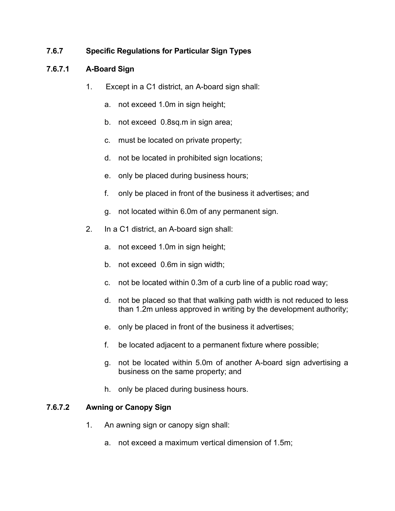## **7.6.7 Specific Regulations for Particular Sign Types**

## **7.6.7.1 A-Board Sign**

- 1. Except in a C1 district, an A-board sign shall:
	- a. not exceed 1.0m in sign height;
	- b. not exceed 0.8sq.m in sign area;
	- c. must be located on private property;
	- d. not be located in prohibited sign locations;
	- e. only be placed during business hours;
	- f. only be placed in front of the business it advertises; and
	- g. not located within 6.0m of any permanent sign.
- 2. In a C1 district, an A-board sign shall:
	- a. not exceed 1.0m in sign height;
	- b. not exceed 0.6m in sign width;
	- c. not be located within 0.3m of a curb line of a public road way;
	- d. not be placed so that that walking path width is not reduced to less than 1.2m unless approved in writing by the development authority;
	- e. only be placed in front of the business it advertises;
	- f. be located adjacent to a permanent fixture where possible;
	- g. not be located within 5.0m of another A-board sign advertising a business on the same property; and
	- h. only be placed during business hours.

## **7.6.7.2 Awning or Canopy Sign**

- 1. An awning sign or canopy sign shall:
	- a. not exceed a maximum vertical dimension of 1.5m;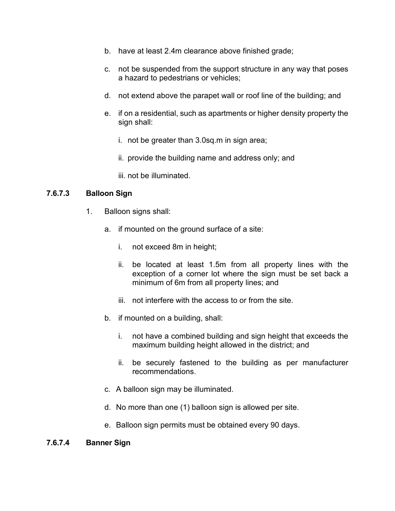- b. have at least 2.4m clearance above finished grade;
- c. not be suspended from the support structure in any way that poses a hazard to pedestrians or vehicles;
- d. not extend above the parapet wall or roof line of the building; and
- e. if on a residential, such as apartments or higher density property the sign shall:
	- i. not be greater than 3.0sq.m in sign area;
	- ii. provide the building name and address only; and
	- iii. not be illuminated.

#### **7.6.7.3 Balloon Sign**

- 1. Balloon signs shall:
	- a. if mounted on the ground surface of a site:
		- i. not exceed 8m in height;
		- ii. be located at least 1.5m from all property lines with the exception of a corner lot where the sign must be set back a minimum of 6m from all property lines; and
		- iii. not interfere with the access to or from the site.
	- b. if mounted on a building, shall:
		- i. not have a combined building and sign height that exceeds the maximum building height allowed in the district; and
		- ii. be securely fastened to the building as per manufacturer recommendations.
	- c. A balloon sign may be illuminated.
	- d. No more than one (1) balloon sign is allowed per site.
	- e. Balloon sign permits must be obtained every 90 days.

#### **7.6.7.4 Banner Sign**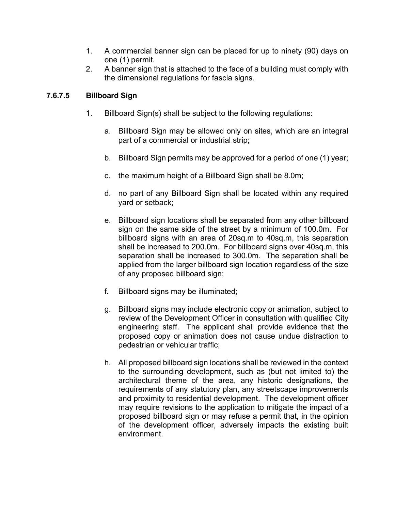- 1. A commercial banner sign can be placed for up to ninety (90) days on one (1) permit.
- 2. A banner sign that is attached to the face of a building must comply with the dimensional regulations for fascia signs.

## **7.6.7.5 Billboard Sign**

- 1. Billboard Sign(s) shall be subject to the following regulations:
	- a. Billboard Sign may be allowed only on sites, which are an integral part of a commercial or industrial strip;
	- b. Billboard Sign permits may be approved for a period of one (1) year;
	- c. the maximum height of a Billboard Sign shall be 8.0m;
	- d. no part of any Billboard Sign shall be located within any required yard or setback;
	- e. Billboard sign locations shall be separated from any other billboard sign on the same side of the street by a minimum of 100.0m. For billboard signs with an area of 20sq.m to 40sq.m, this separation shall be increased to 200.0m. For billboard signs over 40sq.m, this separation shall be increased to 300.0m. The separation shall be applied from the larger billboard sign location regardless of the size of any proposed billboard sign;
	- f. Billboard signs may be illuminated;
	- g. Billboard signs may include electronic copy or animation, subject to review of the Development Officer in consultation with qualified City engineering staff. The applicant shall provide evidence that the proposed copy or animation does not cause undue distraction to pedestrian or vehicular traffic;
	- h. All proposed billboard sign locations shall be reviewed in the context to the surrounding development, such as (but not limited to) the architectural theme of the area, any historic designations, the requirements of any statutory plan, any streetscape improvements and proximity to residential development. The development officer may require revisions to the application to mitigate the impact of a proposed billboard sign or may refuse a permit that, in the opinion of the development officer, adversely impacts the existing built environment.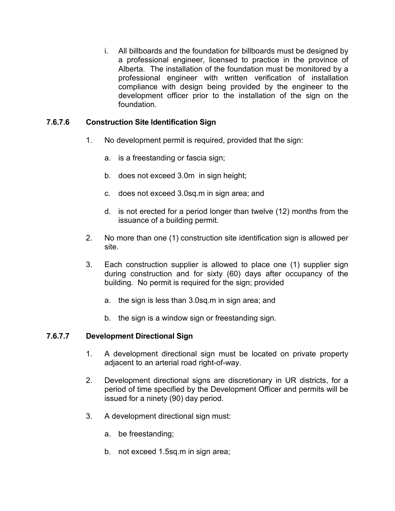i. All billboards and the foundation for billboards must be designed by a professional engineer, licensed to practice in the province of Alberta. The installation of the foundation must be monitored by a professional engineer with written verification of installation compliance with design being provided by the engineer to the development officer prior to the installation of the sign on the foundation.

### **7.6.7.6 Construction Site Identification Sign**

- 1. No development permit is required, provided that the sign:
	- a. is a freestanding or fascia sign;
	- b. does not exceed 3.0m in sign height;
	- c. does not exceed 3.0sq.m in sign area; and
	- d. is not erected for a period longer than twelve (12) months from the issuance of a building permit.
- 2. No more than one (1) construction site identification sign is allowed per site.
- 3. Each construction supplier is allowed to place one (1) supplier sign during construction and for sixty (60) days after occupancy of the building. No permit is required for the sign; provided
	- a. the sign is less than 3.0sq.m in sign area; and
	- b. the sign is a window sign or freestanding sign.

#### **7.6.7.7 Development Directional Sign**

- 1. A development directional sign must be located on private property adjacent to an arterial road right-of-way.
- 2. Development directional signs are discretionary in UR districts, for a period of time specified by the Development Officer and permits will be issued for a ninety (90) day period.
- 3. A development directional sign must:
	- a. be freestanding;
	- b. not exceed 1.5sq.m in sign area;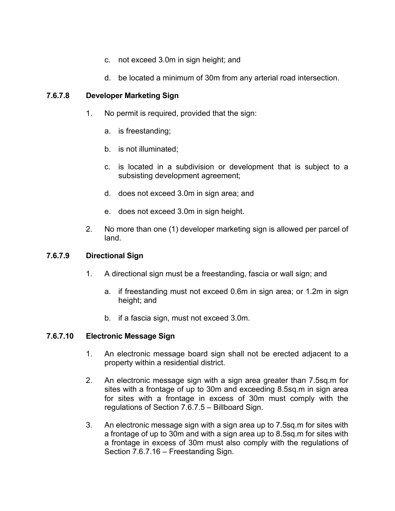- c. not exceed 3.0m in sign height; and
- d. be located a minimum of 30m from any arterial road intersection.

### **7.6.7.8 Developer Marketing Sign**

- 1. No permit is required, provided that the sign:
	- a. is freestanding;
	- b. is not illuminated;
	- c. is located in a subdivision or development that is subject to a subsisting development agreement;
	- d. does not exceed 3.0m in sign area; and
	- e. does not exceed 3.0m in sign height.
- 2. No more than one (1) developer marketing sign is allowed per parcel of land.

### **7.6.7.9 Directional Sign**

- 1. A directional sign must be a freestanding, fascia or wall sign; and
	- a. if freestanding must not exceed 0.6m in sign area; or 1.2m in sign height; and
	- b. if a fascia sign, must not exceed 3.0m.

#### **7.6.7.10 Electronic Message Sign**

- 1. An electronic message board sign shall not be erected adjacent to a property within a residential district.
- 2. An electronic message sign with a sign area greater than 7.5sq.m for sites with a frontage of up to 30m and exceeding 8.5sq.m in sign area for sites with a frontage in excess of 30m must comply with the regulations of Section 7.6.7.5 – Billboard Sign.
- 3. An electronic message sign with a sign area up to 7.5sq.m for sites with a frontage of up to 30m and with a sign area up to 8.5sq.m for sites with a frontage in excess of 30m must also comply with the regulations of Section 7.6.7.16 – Freestanding Sign.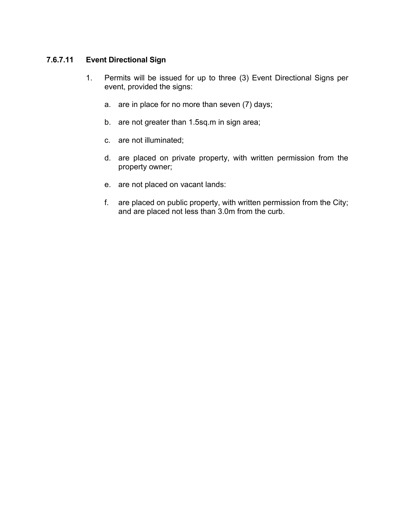## **7.6.7.11 Event Directional Sign**

- 1. Permits will be issued for up to three (3) Event Directional Signs per event, provided the signs:
	- a. are in place for no more than seven (7) days;
	- b. are not greater than 1.5sq.m in sign area;
	- c. are not illuminated;
	- d. are placed on private property, with written permission from the property owner;
	- e. are not placed on vacant lands:
	- f. are placed on public property, with written permission from the City; and are placed not less than 3.0m from the curb.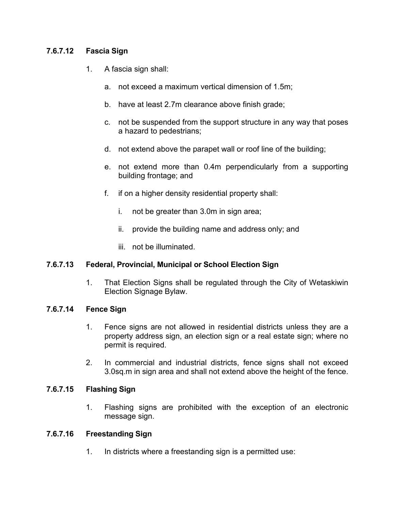### **7.6.7.12 Fascia Sign**

- 1. A fascia sign shall:
	- a. not exceed a maximum vertical dimension of 1.5m;
	- b. have at least 2.7m clearance above finish grade;
	- c. not be suspended from the support structure in any way that poses a hazard to pedestrians;
	- d. not extend above the parapet wall or roof line of the building;
	- e. not extend more than 0.4m perpendicularly from a supporting building frontage; and
	- f. if on a higher density residential property shall:
		- i. not be greater than 3.0m in sign area;
		- ii. provide the building name and address only; and
		- iii. not be illuminated.

#### **7.6.7.13 Federal, Provincial, Municipal or School Election Sign**

1. That Election Signs shall be regulated through the City of Wetaskiwin Election Signage Bylaw.

#### **7.6.7.14 Fence Sign**

- 1. Fence signs are not allowed in residential districts unless they are a property address sign, an election sign or a real estate sign; where no permit is required.
- 2. In commercial and industrial districts, fence signs shall not exceed 3.0sq.m in sign area and shall not extend above the height of the fence.

## **7.6.7.15 Flashing Sign**

1. Flashing signs are prohibited with the exception of an electronic message sign.

## **7.6.7.16 Freestanding Sign**

1. In districts where a freestanding sign is a permitted use: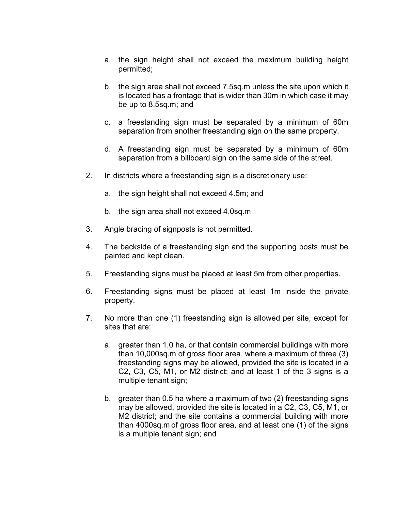- a. the sign height shall not exceed the maximum building height permitted;
- b. the sign area shall not exceed 7.5sq.m unless the site upon which it is located has a frontage that is wider than 30m in which case it may be up to 8.5sq.m; and
- c. a freestanding sign must be separated by a minimum of 60m separation from another freestanding sign on the same property.
- d. A freestanding sign must be separated by a minimum of 60m separation from a billboard sign on the same side of the street.
- 2. In districts where a freestanding sign is a discretionary use:
	- a. the sign height shall not exceed 4.5m; and
	- b. the sign area shall not exceed 4.0sq.m
- 3. Angle bracing of signposts is not permitted.
- 4. The backside of a freestanding sign and the supporting posts must be painted and kept clean.
- 5. Freestanding signs must be placed at least 5m from other properties.
- 6. Freestanding signs must be placed at least 1m inside the private property.
- 7. No more than one (1) freestanding sign is allowed per site, except for sites that are:
	- a. greater than 1.0 ha, or that contain commercial buildings with more than 10,000sq.m of gross floor area, where a maximum of three (3) freestanding signs may be allowed, provided the site is located in a C2, C3, C5, M1, or M2 district; and at least 1 of the 3 signs is a multiple tenant sign;
	- b. greater than 0.5 ha where a maximum of two (2) freestanding signs may be allowed, provided the site is located in a C2, C3, C5, M1, or M2 district; and the site contains a commercial building with more than 4000sq.m of gross floor area, and at least one (1) of the signs is a multiple tenant sign; and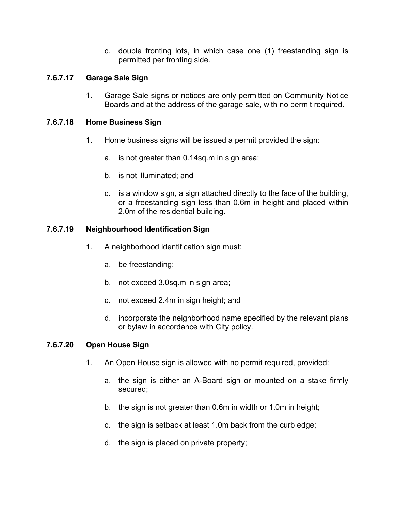c. double fronting lots, in which case one (1) freestanding sign is permitted per fronting side.

### **7.6.7.17 Garage Sale Sign**

1. Garage Sale signs or notices are only permitted on Community Notice Boards and at the address of the garage sale, with no permit required.

### **7.6.7.18 Home Business Sign**

- 1. Home business signs will be issued a permit provided the sign:
	- a. is not greater than 0.14sq.m in sign area;
	- b. is not illuminated; and
	- c. is a window sign, a sign attached directly to the face of the building, or a freestanding sign less than 0.6m in height and placed within 2.0m of the residential building.

### **7.6.7.19 Neighbourhood Identification Sign**

- 1. A neighborhood identification sign must:
	- a. be freestanding;
	- b. not exceed 3.0sq.m in sign area;
	- c. not exceed 2.4m in sign height; and
	- d. incorporate the neighborhood name specified by the relevant plans or bylaw in accordance with City policy.

#### **7.6.7.20 Open House Sign**

- 1. An Open House sign is allowed with no permit required, provided:
	- a. the sign is either an A-Board sign or mounted on a stake firmly secured;
	- b. the sign is not greater than 0.6m in width or 1.0m in height;
	- c. the sign is setback at least 1.0m back from the curb edge;
	- d. the sign is placed on private property;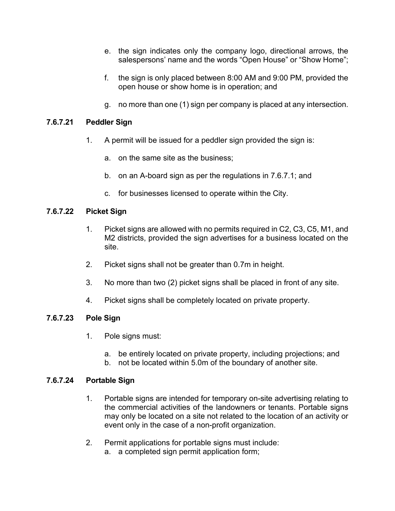- e. the sign indicates only the company logo, directional arrows, the salespersons' name and the words "Open House" or "Show Home";
- f. the sign is only placed between 8:00 AM and 9:00 PM, provided the open house or show home is in operation; and
- g. no more than one (1) sign per company is placed at any intersection.

### **7.6.7.21 Peddler Sign**

- 1. A permit will be issued for a peddler sign provided the sign is:
	- a. on the same site as the business;
	- b. on an A-board sign as per the regulations in 7.6.7.1; and
	- c. for businesses licensed to operate within the City.

### **7.6.7.22 Picket Sign**

- 1. Picket signs are allowed with no permits required in C2, C3, C5, M1, and M2 districts, provided the sign advertises for a business located on the site.
- 2. Picket signs shall not be greater than 0.7m in height.
- 3. No more than two (2) picket signs shall be placed in front of any site.
- 4. Picket signs shall be completely located on private property.

#### **7.6.7.23 Pole Sign**

- 1. Pole signs must:
	- a. be entirely located on private property, including projections; and
	- b. not be located within 5.0m of the boundary of another site.

#### **7.6.7.24 Portable Sign**

- 1. Portable signs are intended for temporary on-site advertising relating to the commercial activities of the landowners or tenants. Portable signs may only be located on a site not related to the location of an activity or event only in the case of a non-profit organization.
- 2. Permit applications for portable signs must include:
	- a. a completed sign permit application form;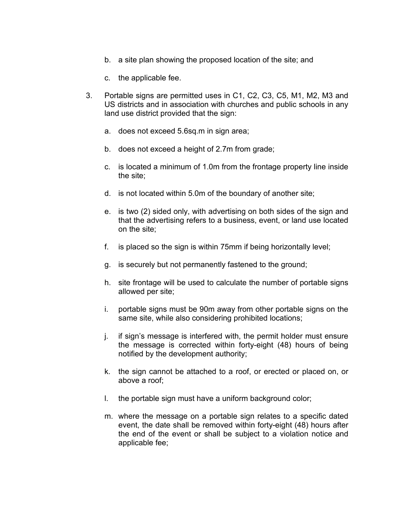- b. a site plan showing the proposed location of the site; and
- c. the applicable fee.
- 3. Portable signs are permitted uses in C1, C2, C3, C5, M1, M2, M3 and US districts and in association with churches and public schools in any land use district provided that the sign:
	- a. does not exceed 5.6sq.m in sign area;
	- b. does not exceed a height of 2.7m from grade;
	- c. is located a minimum of 1.0m from the frontage property line inside the site;
	- d. is not located within 5.0m of the boundary of another site;
	- e. is two (2) sided only, with advertising on both sides of the sign and that the advertising refers to a business, event, or land use located on the site;
	- f. is placed so the sign is within 75mm if being horizontally level;
	- g. is securely but not permanently fastened to the ground;
	- h. site frontage will be used to calculate the number of portable signs allowed per site;
	- i. portable signs must be 90m away from other portable signs on the same site, while also considering prohibited locations;
	- j. if sign's message is interfered with, the permit holder must ensure the message is corrected within forty-eight (48) hours of being notified by the development authority;
	- k. the sign cannot be attached to a roof, or erected or placed on, or above a roof;
	- l. the portable sign must have a uniform background color;
	- m. where the message on a portable sign relates to a specific dated event, the date shall be removed within forty-eight (48) hours after the end of the event or shall be subject to a violation notice and applicable fee;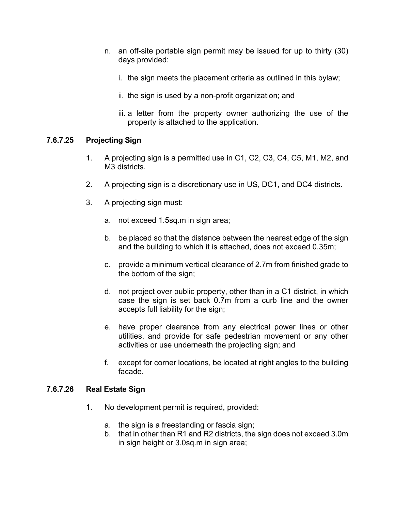- n. an off-site portable sign permit may be issued for up to thirty (30) days provided:
	- i. the sign meets the placement criteria as outlined in this bylaw;
	- ii. the sign is used by a non-profit organization; and
	- iii. a letter from the property owner authorizing the use of the property is attached to the application.

#### **7.6.7.25 Projecting Sign**

- 1. A projecting sign is a permitted use in C1, C2, C3, C4, C5, M1, M2, and M3 districts.
- 2. A projecting sign is a discretionary use in US, DC1, and DC4 districts.
- 3. A projecting sign must:
	- a. not exceed 1.5sq.m in sign area;
	- b. be placed so that the distance between the nearest edge of the sign and the building to which it is attached, does not exceed 0.35m;
	- c. provide a minimum vertical clearance of 2.7m from finished grade to the bottom of the sign;
	- d. not project over public property, other than in a C1 district, in which case the sign is set back 0.7m from a curb line and the owner accepts full liability for the sign;
	- e. have proper clearance from any electrical power lines or other utilities, and provide for safe pedestrian movement or any other activities or use underneath the projecting sign; and
	- f. except for corner locations, be located at right angles to the building facade.

#### **7.6.7.26 Real Estate Sign**

- 1. No development permit is required, provided:
	- a. the sign is a freestanding or fascia sign;
	- b. that in other than R1 and R2 districts, the sign does not exceed 3.0m in sign height or 3.0sq.m in sign area;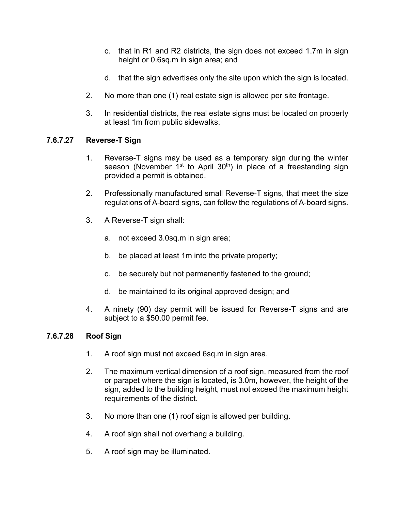- c. that in R1 and R2 districts, the sign does not exceed 1.7m in sign height or 0.6sq.m in sign area; and
- d. that the sign advertises only the site upon which the sign is located.
- 2. No more than one (1) real estate sign is allowed per site frontage.
- 3. In residential districts, the real estate signs must be located on property at least 1m from public sidewalks.

## **7.6.7.27 Reverse-T Sign**

- 1. Reverse-T signs may be used as a temporary sign during the winter season (November  $1<sup>st</sup>$  to April 30<sup>th</sup>) in place of a freestanding sign provided a permit is obtained.
- 2. Professionally manufactured small Reverse-T signs, that meet the size regulations of A-board signs, can follow the regulations of A-board signs.
- 3. A Reverse-T sign shall:
	- a. not exceed 3.0sq.m in sign area;
	- b. be placed at least 1m into the private property;
	- c. be securely but not permanently fastened to the ground;
	- d. be maintained to its original approved design; and
- 4. A ninety (90) day permit will be issued for Reverse-T signs and are subject to a \$50.00 permit fee.

#### **7.6.7.28 Roof Sign**

- 1. A roof sign must not exceed 6sq.m in sign area.
- 2. The maximum vertical dimension of a roof sign, measured from the roof or parapet where the sign is located, is 3.0m, however, the height of the sign, added to the building height, must not exceed the maximum height requirements of the district.
- 3. No more than one (1) roof sign is allowed per building.
- 4. A roof sign shall not overhang a building.
- 5. A roof sign may be illuminated.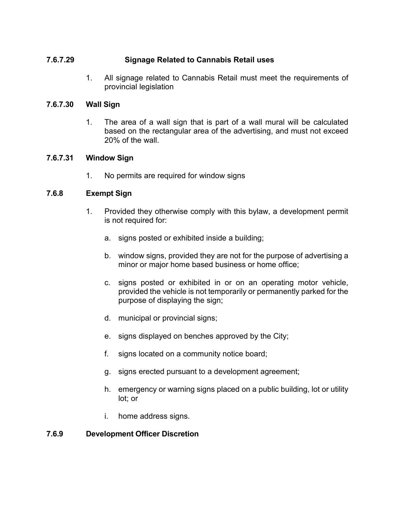## **7.6.7.29 Signage Related to Cannabis Retail uses**

1. All signage related to Cannabis Retail must meet the requirements of provincial legislation

## **7.6.7.30 Wall Sign**

1. The area of a wall sign that is part of a wall mural will be calculated based on the rectangular area of the advertising, and must not exceed 20% of the wall.

## **7.6.7.31 Window Sign**

1. No permits are required for window signs

## **7.6.8 Exempt Sign**

- 1. Provided they otherwise comply with this bylaw, a development permit is not required for:
	- a. signs posted or exhibited inside a building;
	- b. window signs, provided they are not for the purpose of advertising a minor or major home based business or home office;
	- c. signs posted or exhibited in or on an operating motor vehicle, provided the vehicle is not temporarily or permanently parked for the purpose of displaying the sign;
	- d. municipal or provincial signs;
	- e. signs displayed on benches approved by the City;
	- f. signs located on a community notice board;
	- g. signs erected pursuant to a development agreement;
	- h. emergency or warning signs placed on a public building, lot or utility lot; or
	- i. home address signs.

# **7.6.9 Development Officer Discretion**